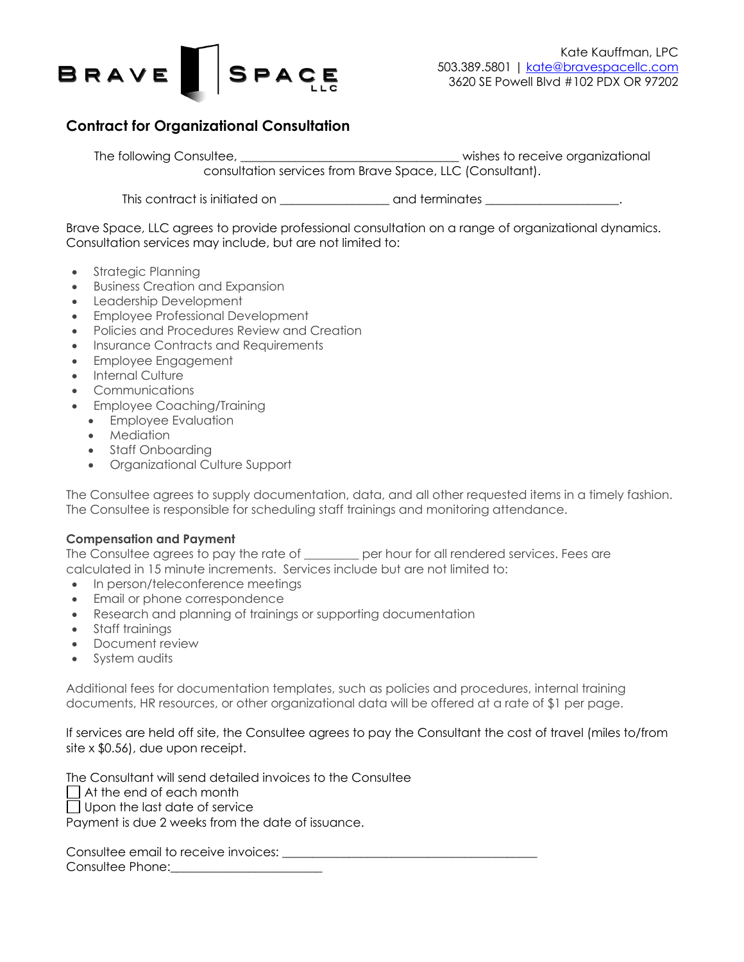

# **Contract for Organizational Consultation**

The following Consultee, the consultee organizational state of the consultational visibles to receive organizational consultation services from Brave Space, LLC (Consultant).

This contract is initiated on \_\_\_\_\_\_\_\_\_\_\_\_\_\_\_\_\_\_\_\_\_\_ and terminates \_\_\_\_\_\_\_\_\_\_\_\_\_\_\_\_\_\_\_\_\_\_.

Brave Space, LLC agrees to provide professional consultation on a range of organizational dynamics. Consultation services may include, but are not limited to:

- Strategic Planning
- Business Creation and Expansion
- Leadership Development
- Employee Professional Development
- Policies and Procedures Review and Creation
- Insurance Contracts and Requirements
- Employee Engagement
- Internal Culture
- Communications
- Employee Coaching/Training
- Employee Evaluation
	- Mediation
- Staff Onboardina
- Organizational Culture Support

The Consultee agrees to supply documentation, data, and all other requested items in a timely fashion. The Consultee is responsible for scheduling staff trainings and monitoring attendance.

#### **Compensation and Payment**

The Consultee agrees to pay the rate of each over hour for all rendered services. Fees are calculated in 15 minute increments. Services include but are not limited to:

- In person/teleconference meetings
- Email or phone correspondence
- Research and planning of trainings or supporting documentation
- Staff trainings
- Document review
- System audits

Additional fees for documentation templates, such as policies and procedures, internal training documents, HR resources, or other organizational data will be offered at a rate of \$1 per page.

If services are held off site, the Consultee agrees to pay the Consultant the cost of travel (miles to/from site x \$0.56), due upon receipt.

The Consultant will send detailed invoices to the Consultee

At the end of each month

 $\Box$  Upon the last date of service

Payment is due 2 weeks from the date of issuance.

Consultee email to receive invoices:  $\blacksquare$ Consultee Phone:\_\_\_\_\_\_\_\_\_\_\_\_\_\_\_\_\_\_\_\_\_\_\_\_\_